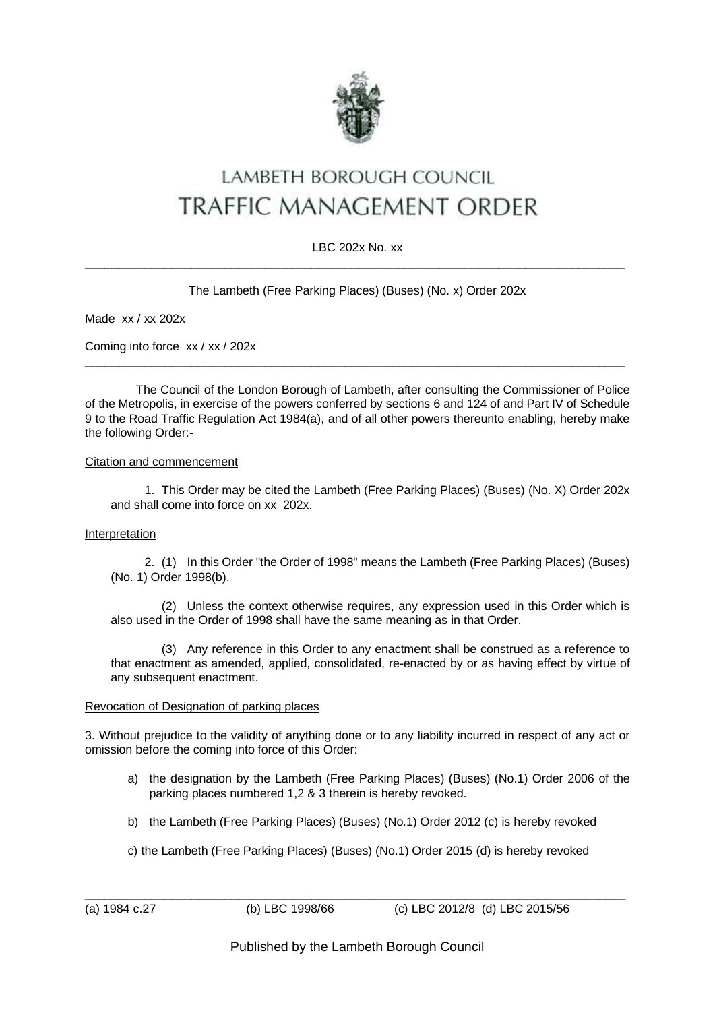

# LAMBETH BOROUGH COUNCIL **TRAFFIC MANAGEMENT ORDER**

## LBC 202x No. xx \_\_\_\_\_\_\_\_\_\_\_\_\_\_\_\_\_\_\_\_\_\_\_\_\_\_\_\_\_\_\_\_\_\_\_\_\_\_\_\_\_\_\_\_\_\_\_\_\_\_\_\_\_\_\_\_\_\_\_\_\_\_\_\_\_\_\_\_\_\_\_\_\_\_\_\_\_\_\_\_\_

# The Lambeth (Free Parking Places) (Buses) (No. x) Order 202x

Made xx / xx 202x

Coming into force xx / xx / 202x

The Council of the London Borough of Lambeth, after consulting the Commissioner of Police of the Metropolis, in exercise of the powers conferred by sections 6 and 124 of and Part IV of Schedule 9 to the Road Traffic Regulation Act 1984(a), and of all other powers thereunto enabling, hereby make the following Order:-

 $\_$  , and the set of the set of the set of the set of the set of the set of the set of the set of the set of the set of the set of the set of the set of the set of the set of the set of the set of the set of the set of th

## Citation and commencement

1. This Order may be cited the Lambeth (Free Parking Places) (Buses) (No. X) Order 202x and shall come into force on xx 202x.

#### Interpretation

2. (1) In this Order "the Order of 1998" means the Lambeth (Free Parking Places) (Buses) (No. 1) Order 1998(b).

(2) Unless the context otherwise requires, any expression used in this Order which is also used in the Order of 1998 shall have the same meaning as in that Order.

(3) Any reference in this Order to any enactment shall be construed as a reference to that enactment as amended, applied, consolidated, re-enacted by or as having effect by virtue of any subsequent enactment.

#### Revocation of Designation of parking places

3. Without prejudice to the validity of anything done or to any liability incurred in respect of any act or omission before the coming into force of this Order:

- a) the designation by the Lambeth (Free Parking Places) (Buses) (No.1) Order 2006 of the parking places numbered 1,2 & 3 therein is hereby revoked.
- b) the Lambeth (Free Parking Places) (Buses) (No.1) Order 2012 (c) is hereby revoked
- c) the Lambeth (Free Parking Places) (Buses) (No.1) Order 2015 (d) is hereby revoked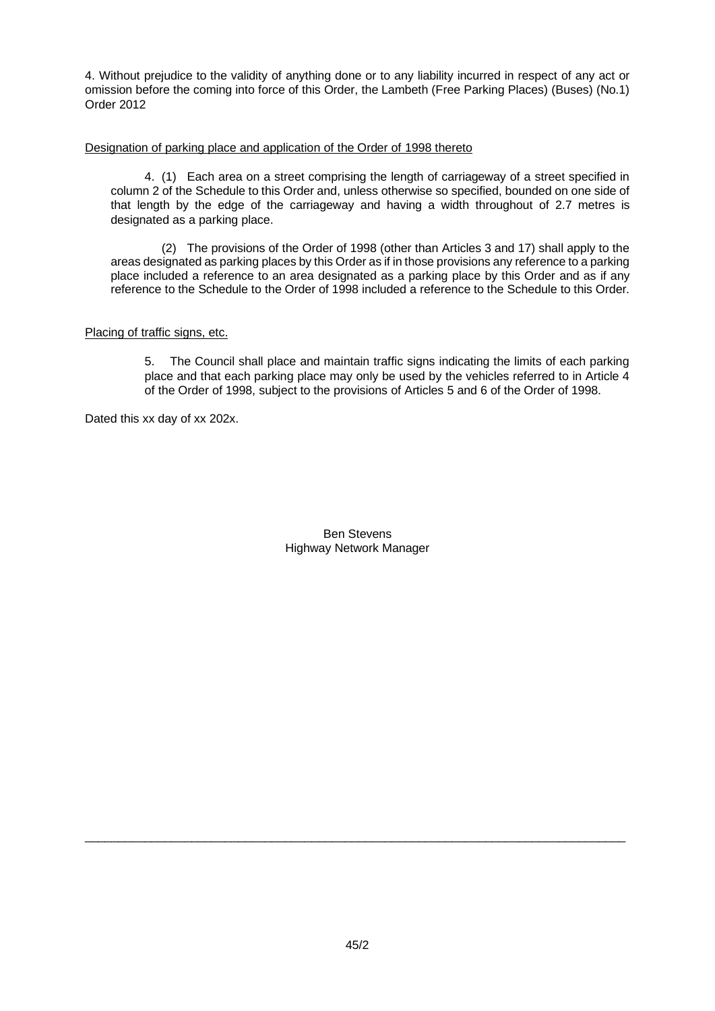4. Without prejudice to the validity of anything done or to any liability incurred in respect of any act or omission before the coming into force of this Order, the Lambeth (Free Parking Places) (Buses) (No.1) Order 2012

## Designation of parking place and application of the Order of 1998 thereto

4. (1) Each area on a street comprising the length of carriageway of a street specified in column 2 of the Schedule to this Order and, unless otherwise so specified, bounded on one side of that length by the edge of the carriageway and having a width throughout of 2.7 metres is designated as a parking place.

(2) The provisions of the Order of 1998 (other than Articles 3 and 17) shall apply to the areas designated as parking places by this Order as if in those provisions any reference to a parking place included a reference to an area designated as a parking place by this Order and as if any reference to the Schedule to the Order of 1998 included a reference to the Schedule to this Order.

## Placing of traffic signs, etc.

5. The Council shall place and maintain traffic signs indicating the limits of each parking place and that each parking place may only be used by the vehicles referred to in Article 4 of the Order of 1998, subject to the provisions of Articles 5 and 6 of the Order of 1998.

Dated this xx day of xx 202x.

Ben Stevens Highway Network Manager

\_\_\_\_\_\_\_\_\_\_\_\_\_\_\_\_\_\_\_\_\_\_\_\_\_\_\_\_\_\_\_\_\_\_\_\_\_\_\_\_\_\_\_\_\_\_\_\_\_\_\_\_\_\_\_\_\_\_\_\_\_\_\_\_\_\_\_\_\_\_\_\_\_\_\_\_\_\_\_\_\_